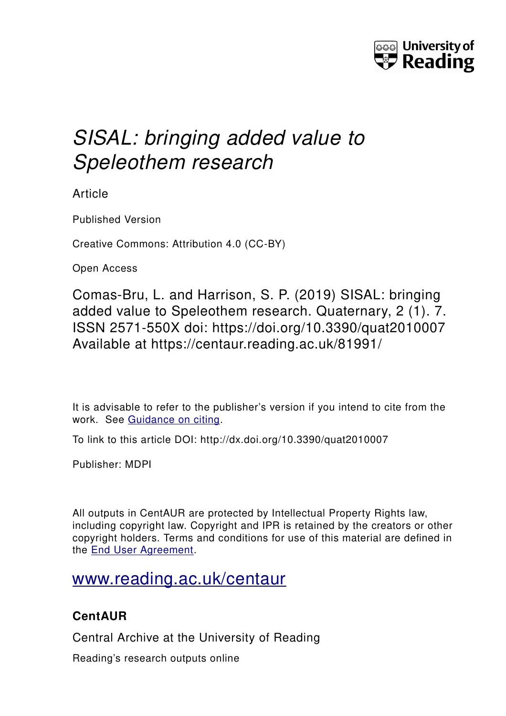

# *SISAL: bringing added value to Speleothem research*

Article

Published Version

Creative Commons: Attribution 4.0 (CC-BY)

Open Access

Comas-Bru, L. and Harrison, S. P. (2019) SISAL: bringing added value to Speleothem research. Quaternary, 2 (1). 7. ISSN 2571-550X doi: https://doi.org/10.3390/quat2010007 Available at https://centaur.reading.ac.uk/81991/

It is advisable to refer to the publisher's version if you intend to cite from the work. See [Guidance on citing.](http://centaur.reading.ac.uk/71187/10/CentAUR%20citing%20guide.pdf)

To link to this article DOI: http://dx.doi.org/10.3390/quat2010007

Publisher: MDPI

All outputs in CentAUR are protected by Intellectual Property Rights law, including copyright law. Copyright and IPR is retained by the creators or other copyright holders. Terms and conditions for use of this material are defined in the [End User Agreement.](http://centaur.reading.ac.uk/licence)

## [www.reading.ac.uk/centaur](http://www.reading.ac.uk/centaur)

### **CentAUR**

Central Archive at the University of Reading

Reading's research outputs online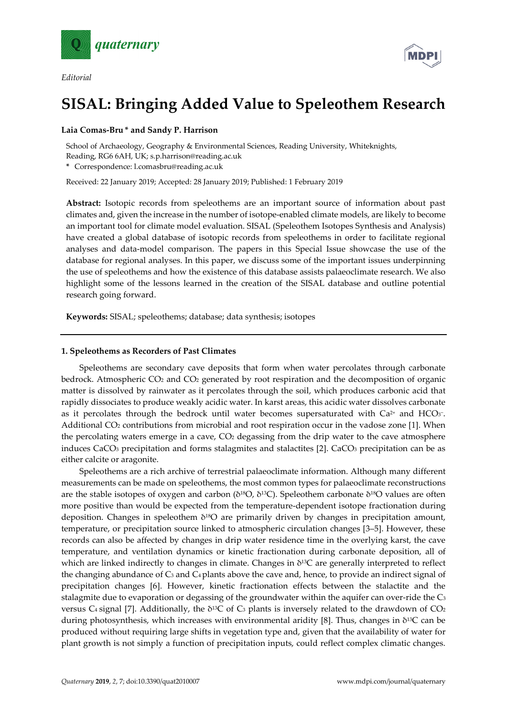

*Editorial*



#### **Laia Comas-Bru \* and Sandy P. Harrison**

School of Archaeology, Geography & Environmental Sciences, Reading University, Whiteknights, Reading, RG6 6AH, UK; s.p.harrison@reading.ac.uk

**\*** Correspondence: l.comasbru@reading.ac.uk

Received: 22 January 2019; Accepted: 28 January 2019; Published: 1 February 2019

**Abstract:** Isotopic records from speleothems are an important source of information about past climates and, given the increase in the number of isotope-enabled climate models, are likely to become an important tool for climate model evaluation. SISAL (Speleothem Isotopes Synthesis and Analysis) have created a global database of isotopic records from speleothems in order to facilitate regional analyses and data-model comparison. The papers in this Special Issue showcase the use of the database for regional analyses. In this paper, we discuss some of the important issues underpinning the use of speleothems and how the existence of this database assists palaeoclimate research. We also highlight some of the lessons learned in the creation of the SISAL database and outline potential research going forward.

**Keywords:** SISAL; speleothems; database; data synthesis; isotopes

#### **1. Speleothems as Recorders of Past Climates**

Speleothems are secondary cave deposits that form when water percolates through carbonate bedrock. Atmospheric CO2 and CO2 generated by root respiration and the decomposition of organic matter is dissolved by rainwater as it percolates through the soil, which produces carbonic acid that rapidly dissociates to produce weakly acidic water. In karst areas, this acidic water dissolves carbonate as it percolates through the bedrock until water becomes supersaturated with Ca<sup>2+</sup> and HCO<sub>3</sub><sup>-</sup>. Additional CO2 contributions from microbial and root respiration occur in the vadose zone [1]. When the percolating waters emerge in a cave, CO<sub>2</sub> degassing from the drip water to the cave atmosphere induces CaCO<sub>3</sub> precipitation and forms stalagmites and stalactites [2]. CaCO<sub>3</sub> precipitation can be as either calcite or aragonite.

Speleothems are a rich archive of terrestrial palaeoclimate information. Although many different measurements can be made on speleothems, the most common types for palaeoclimate reconstructions are the stable isotopes of oxygen and carbon ( $\delta^{18}O$ ,  $\delta^{13}C$ ). Speleothem carbonate  $\delta^{18}O$  values are often more positive than would be expected from the temperature-dependent isotope fractionation during deposition. Changes in speleothem  $\delta^{18}O$  are primarily driven by changes in precipitation amount, temperature, or precipitation source linked to atmospheric circulation changes [3–5]. However, these records can also be affected by changes in drip water residence time in the overlying karst, the cave temperature, and ventilation dynamics or kinetic fractionation during carbonate deposition, all of which are linked indirectly to changes in climate. Changes in δ<sup>13</sup>C are generally interpreted to reflect the changing abundance of  $C_3$  and  $C_4$  plants above the cave and, hence, to provide an indirect signal of precipitation changes [6]. However, kinetic fractionation effects between the stalactite and the stalagmite due to evaporation or degassing of the groundwater within the aquifer can over-ride the  $C_3$ versus C<sub>4</sub> signal [7]. Additionally, the  $\delta^{13}C$  of C<sub>3</sub> plants is inversely related to the drawdown of CO<sub>2</sub> during photosynthesis, which increases with environmental aridity [8]. Thus, changes in δ13C can be produced without requiring large shifts in vegetation type and, given that the availability of water for plant growth is not simply a function of precipitation inputs, could reflect complex climatic changes.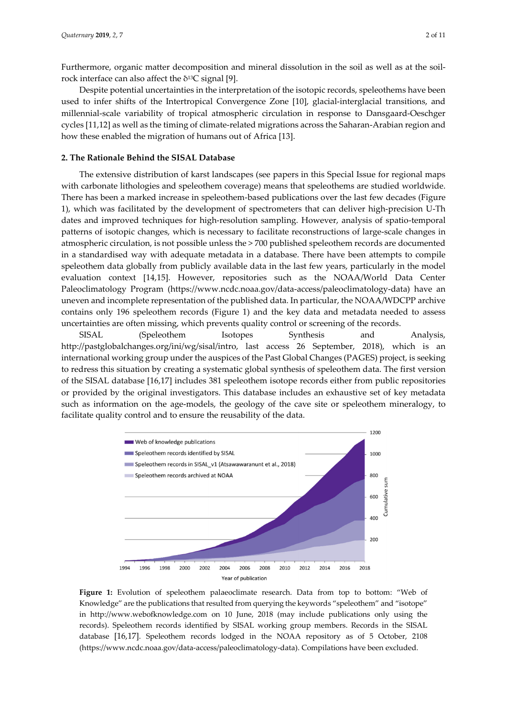Furthermore, organic matter decomposition and mineral dissolution in the soil as well as at the soilrock interface can also affect the δ13C signal [9].

Despite potential uncertainties in the interpretation of the isotopic records, speleothems have been used to infer shifts of the Intertropical Convergence Zone [10], glacial-interglacial transitions, and millennial-scale variability of tropical atmospheric circulation in response to Dansgaard-Oeschger cycles [11,12] as well as the timing of climate-related migrations across the Saharan-Arabian region and how these enabled the migration of humans out of Africa [13].

#### **2. The Rationale Behind the SISAL Database**

The extensive distribution of karst landscapes (see papers in this Special Issue for regional maps with carbonate lithologies and speleothem coverage) means that speleothems are studied worldwide. There has been a marked increase in speleothem-based publications over the last few decades (Figure 1), which was facilitated by the development of spectrometers that can deliver high-precision U-Th dates and improved techniques for high-resolution sampling. However, analysis of spatio-temporal patterns of isotopic changes, which is necessary to facilitate reconstructions of large-scale changes in atmospheric circulation, is not possible unless the > 700 published speleothem records are documented in a standardised way with adequate metadata in a database. There have been attempts to compile speleothem data globally from publicly available data in the last few years, particularly in the model evaluation context [14,15]. However, repositories such as the NOAA/World Data Center Paleoclimatology Program (https://www.ncdc.noaa.gov/data-access/paleoclimatology-data) have an uneven and incomplete representation of the published data. In particular, the NOAA/WDCPP archive contains only 196 speleothem records (Figure 1) and the key data and metadata needed to assess uncertainties are often missing, which prevents quality control or screening of the records.

SISAL (Speleothem Isotopes Synthesis and Analysis, http://pastglobalchanges.org/ini/wg/sisal/intro, last access 26 September, 2018), which is an international working group under the auspices of the Past Global Changes (PAGES) project, is seeking to redress this situation by creating a systematic global synthesis of speleothem data. The first version of the SISAL database [16,17] includes 381 speleothem isotope records either from public repositories or provided by the original investigators. This database includes an exhaustive set of key metadata such as information on the age-models, the geology of the cave site or speleothem mineralogy, to facilitate quality control and to ensure the reusability of the data.



**Figure 1:** Evolution of speleothem palaeoclimate research. Data from top to bottom: "Web of Knowledge" are the publications that resulted from querying the keywords "speleothem" and "isotope" in http://www.webofknowledge.com on 10 June, 2018 (may include publications only using the records). Speleothem records identified by SISAL working group members. Records in the SISAL database [16,17]. Speleothem records lodged in the NOAA repository as of 5 October, 2108 (https://www.ncdc.noaa.gov/data-access/paleoclimatology-data). Compilations have been excluded.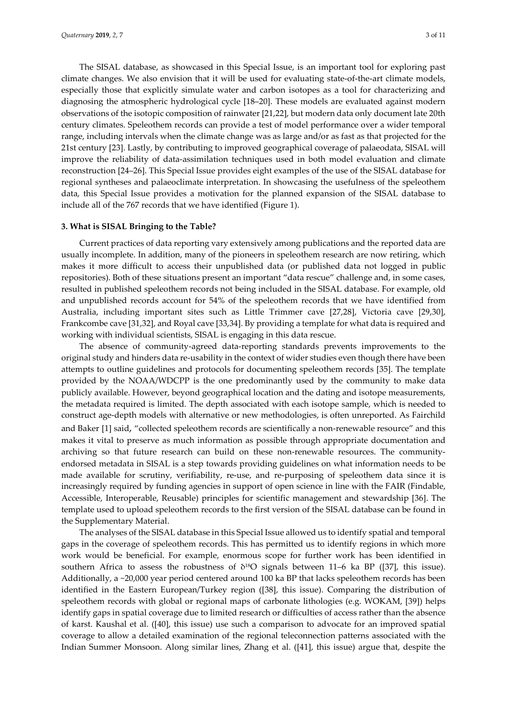The SISAL database, as showcased in this Special Issue, is an important tool for exploring past climate changes. We also envision that it will be used for evaluating state-of-the-art climate models, especially those that explicitly simulate water and carbon isotopes as a tool for characterizing and diagnosing the atmospheric hydrological cycle [18–20]. These models are evaluated against modern observations of the isotopic composition of rainwater [21,22], but modern data only document late 20th century climates. Speleothem records can provide a test of model performance over a wider temporal range, including intervals when the climate change was as large and/or as fast as that projected for the 21st century [23]. Lastly, by contributing to improved geographical coverage of palaeodata, SISAL will improve the reliability of data-assimilation techniques used in both model evaluation and climate reconstruction [24–26]. This Special Issue provides eight examples of the use of the SISAL database for regional syntheses and palaeoclimate interpretation. In showcasing the usefulness of the speleothem data, this Special Issue provides a motivation for the planned expansion of the SISAL database to include all of the 767 records that we have identified (Figure 1).

#### **3. What is SISAL Bringing to the Table?**

Current practices of data reporting vary extensively among publications and the reported data are usually incomplete. In addition, many of the pioneers in speleothem research are now retiring, which makes it more difficult to access their unpublished data (or published data not logged in public repositories). Both of these situations present an important "data rescue" challenge and, in some cases, resulted in published speleothem records not being included in the SISAL database. For example, old and unpublished records account for 54% of the speleothem records that we have identified from Australia, including important sites such as Little Trimmer cave [27,28], Victoria cave [29,30], Frankcombe cave [31,32], and Royal cave [33,34]. By providing a template for what data is required and working with individual scientists, SISAL is engaging in this data rescue.

The absence of community-agreed data-reporting standards prevents improvements to the original study and hinders data re-usability in the context of wider studies even though there have been attempts to outline guidelines and protocols for documenting speleothem records [35]. The template provided by the NOAA/WDCPP is the one predominantly used by the community to make data publicly available. However, beyond geographical location and the dating and isotope measurements, the metadata required is limited. The depth associated with each isotope sample, which is needed to construct age-depth models with alternative or new methodologies, is often unreported. As Fairchild and Baker [1] said, "collected speleothem records are scientifically a non-renewable resource" and this makes it vital to preserve as much information as possible through appropriate documentation and archiving so that future research can build on these non-renewable resources. The communityendorsed metadata in SISAL is a step towards providing guidelines on what information needs to be made available for scrutiny, verifiability, re-use, and re-purposing of speleothem data since it is increasingly required by funding agencies in support of open science in line with the FAIR (Findable, Accessible, Interoperable, Reusable) principles for scientific management and stewardship [36]. The template used to upload speleothem records to the first version of the SISAL database can be found in the Supplementary Material.

The analyses of the SISAL database in this Special Issue allowed us to identify spatial and temporal gaps in the coverage of speleothem records. This has permitted us to identify regions in which more work would be beneficial. For example, enormous scope for further work has been identified in southern Africa to assess the robustness of  $\delta^{18}O$  signals between 11–6 ka BP ([37], this issue). Additionally, a ~20,000 year period centered around 100 ka BP that lacks speleothem records has been identified in the Eastern European/Turkey region ([38], this issue). Comparing the distribution of speleothem records with global or regional maps of carbonate lithologies (e.g. WOKAM, [39]) helps identify gaps in spatial coverage due to limited research or difficulties of access rather than the absence of karst. Kaushal et al. ([40], this issue) use such a comparison to advocate for an improved spatial coverage to allow a detailed examination of the regional teleconnection patterns associated with the Indian Summer Monsoon. Along similar lines, Zhang et al. ([41], this issue) argue that, despite the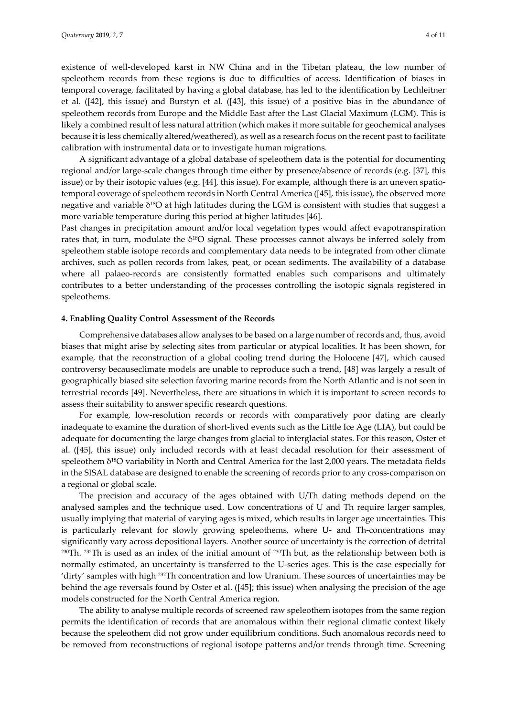existence of well-developed karst in NW China and in the Tibetan plateau, the low number of speleothem records from these regions is due to difficulties of access. Identification of biases in temporal coverage, facilitated by having a global database, has led to the identification by Lechleitner et al. ([42], this issue) and Burstyn et al. ([43], this issue) of a positive bias in the abundance of speleothem records from Europe and the Middle East after the Last Glacial Maximum (LGM). This is likely a combined result of less natural attrition (which makes it more suitable for geochemical analyses because it is less chemically altered/weathered), as well as a research focus on the recent past to facilitate calibration with instrumental data or to investigate human migrations.

A significant advantage of a global database of speleothem data is the potential for documenting regional and/or large-scale changes through time either by presence/absence of records (e.g. [37], this issue) or by their isotopic values (e.g. [44], this issue). For example, although there is an uneven spatiotemporal coverage of speleothem records in North Central America ([45], this issue), the observed more negative and variable δ18O at high latitudes during the LGM is consistent with studies that suggest a more variable temperature during this period at higher latitudes [46].

Past changes in precipitation amount and/or local vegetation types would affect evapotranspiration rates that, in turn, modulate the  $\delta^{18}O$  signal. These processes cannot always be inferred solely from speleothem stable isotope records and complementary data needs to be integrated from other climate archives, such as pollen records from lakes, peat, or ocean sediments. The availability of a database where all palaeo-records are consistently formatted enables such comparisons and ultimately contributes to a better understanding of the processes controlling the isotopic signals registered in speleothems.

#### **4. Enabling Quality Control Assessment of the Records**

Comprehensive databases allow analyses to be based on a large number of records and, thus, avoid biases that might arise by selecting sites from particular or atypical localities. It has been shown, for example, that the reconstruction of a global cooling trend during the Holocene [47], which caused controversy becauseclimate models are unable to reproduce such a trend, [48] was largely a result of geographically biased site selection favoring marine records from the North Atlantic and is not seen in terrestrial records [49]. Nevertheless, there are situations in which it is important to screen records to assess their suitability to answer specific research questions.

For example, low-resolution records or records with comparatively poor dating are clearly inadequate to examine the duration of short-lived events such as the Little Ice Age (LIA), but could be adequate for documenting the large changes from glacial to interglacial states. For this reason, Oster et al. ([45], this issue) only included records with at least decadal resolution for their assessment of speleothem  $\delta^{18}O$  variability in North and Central America for the last 2,000 years. The metadata fields in the SISAL database are designed to enable the screening of records prior to any cross-comparison on a regional or global scale.

The precision and accuracy of the ages obtained with U/Th dating methods depend on the analysed samples and the technique used. Low concentrations of U and Th require larger samples, usually implying that material of varying ages is mixed, which results in larger age uncertainties. This is particularly relevant for slowly growing speleothems, where U- and Th-concentrations may significantly vary across depositional layers. Another source of uncertainty is the correction of detrital 230Th. 232Th is used as an index of the initial amount of 230Th but, as the relationship between both is normally estimated, an uncertainty is transferred to the U-series ages. This is the case especially for 'dirty' samples with high 232Th concentration and low Uranium. These sources of uncertainties may be behind the age reversals found by Oster et al. ([45]; this issue) when analysing the precision of the age models constructed for the North Central America region.

The ability to analyse multiple records of screened raw speleothem isotopes from the same region permits the identification of records that are anomalous within their regional climatic context likely because the speleothem did not grow under equilibrium conditions. Such anomalous records need to be removed from reconstructions of regional isotope patterns and/or trends through time. Screening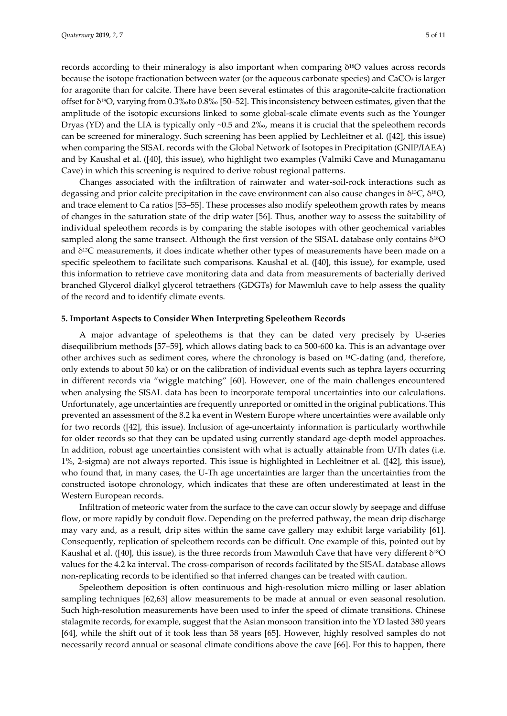records according to their mineralogy is also important when comparing δ<sup>18</sup>O values across records because the isotope fractionation between water (or the aqueous carbonate species) and CaCO3 is larger for aragonite than for calcite. There have been several estimates of this aragonite-calcite fractionation offset for δ18O, varying from 0.3‰to 0.8‰ [50–52]. This inconsistency between estimates, given that the amplitude of the isotopic excursions linked to some global-scale climate events such as the Younger Dryas (YD) and the LIA is typically only ~0.5 and 2‰, means it is crucial that the speleothem records can be screened for mineralogy. Such screening has been applied by Lechleitner et al. ([42], this issue) when comparing the SISAL records with the Global Network of Isotopes in Precipitation (GNIP/IAEA) and by Kaushal et al. ([40], this issue), who highlight two examples (Valmiki Cave and Munagamanu Cave) in which this screening is required to derive robust regional patterns.

Changes associated with the infiltration of rainwater and water-soil-rock interactions such as degassing and prior calcite precipitation in the cave environment can also cause changes in δ13C, δ18O, and trace element to Ca ratios [53–55]. These processes also modify speleothem growth rates by means of changes in the saturation state of the drip water [56]. Thus, another way to assess the suitability of individual speleothem records is by comparing the stable isotopes with other geochemical variables sampled along the same transect. Although the first version of the SISAL database only contains δ18O and  $\delta^{13}$ C measurements, it does indicate whether other types of measurements have been made on a specific speleothem to facilitate such comparisons. Kaushal et al. ([40], this issue), for example, used this information to retrieve cave monitoring data and data from measurements of bacterially derived branched Glycerol dialkyl glycerol tetraethers (GDGTs) for Mawmluh cave to help assess the quality of the record and to identify climate events.

#### **5. Important Aspects to Consider When Interpreting Speleothem Records**

A major advantage of speleothems is that they can be dated very precisely by U-series disequilibrium methods [57–59], which allows dating back to ca 500-600 ka. This is an advantage over other archives such as sediment cores, where the chronology is based on 14C-dating (and, therefore, only extends to about 50 ka) or on the calibration of individual events such as tephra layers occurring in different records via "wiggle matching" [60]. However, one of the main challenges encountered when analysing the SISAL data has been to incorporate temporal uncertainties into our calculations. Unfortunately, age uncertainties are frequently unreported or omitted in the original publications. This prevented an assessment of the 8.2 ka event in Western Europe where uncertainties were available only for two records ([42], this issue). Inclusion of age-uncertainty information is particularly worthwhile for older records so that they can be updated using currently standard age-depth model approaches. In addition, robust age uncertainties consistent with what is actually attainable from U/Th dates (i.e. 1%, 2-sigma) are not always reported. This issue is highlighted in Lechleitner et al. ([42], this issue), who found that, in many cases, the U-Th age uncertainties are larger than the uncertainties from the constructed isotope chronology, which indicates that these are often underestimated at least in the Western European records.

Infiltration of meteoric water from the surface to the cave can occur slowly by seepage and diffuse flow, or more rapidly by conduit flow. Depending on the preferred pathway, the mean drip discharge may vary and, as a result, drip sites within the same cave gallery may exhibit large variability [61]. Consequently, replication of speleothem records can be difficult. One example of this, pointed out by Kaushal et al. ([40], this issue), is the three records from Mawmluh Cave that have very different δ18O values for the 4.2 ka interval. The cross-comparison of records facilitated by the SISAL database allows non-replicating records to be identified so that inferred changes can be treated with caution.

Speleothem deposition is often continuous and high-resolution micro milling or laser ablation sampling techniques [62,63] allow measurements to be made at annual or even seasonal resolution. Such high-resolution measurements have been used to infer the speed of climate transitions. Chinese stalagmite records, for example, suggest that the Asian monsoon transition into the YD lasted 380 years [64], while the shift out of it took less than 38 years [65]. However, highly resolved samples do not necessarily record annual or seasonal climate conditions above the cave [66]. For this to happen, there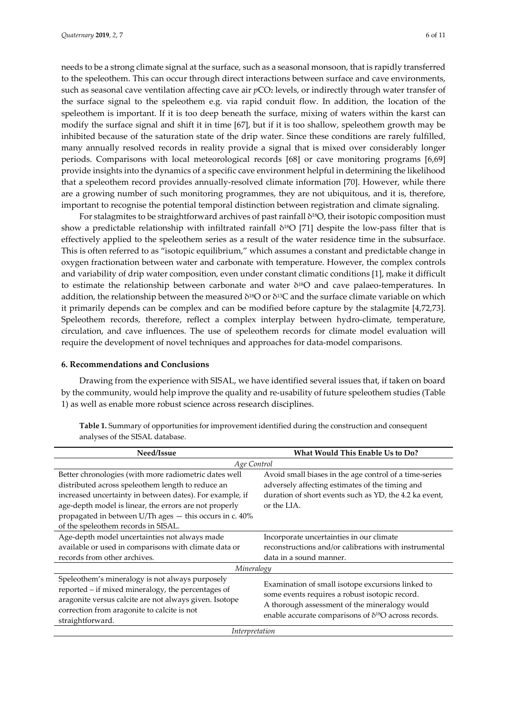needs to be a strong climate signal at the surface, such as a seasonal monsoon, that is rapidly transferred to the speleothem. This can occur through direct interactions between surface and cave environments, such as seasonal cave ventilation affecting cave air *p*CO<sub>2</sub> levels, or indirectly through water transfer of the surface signal to the speleothem e.g. via rapid conduit flow. In addition, the location of the speleothem is important. If it is too deep beneath the surface, mixing of waters within the karst can modify the surface signal and shift it in time [67], but if it is too shallow, speleothem growth may be inhibited because of the saturation state of the drip water. Since these conditions are rarely fulfilled, many annually resolved records in reality provide a signal that is mixed over considerably longer periods. Comparisons with local meteorological records [68] or cave monitoring programs [6,69] provide insights into the dynamics of a specific cave environment helpful in determining the likelihood that a speleothem record provides annually-resolved climate information [70]. However, while there are a growing number of such monitoring programmes, they are not ubiquitous, and it is, therefore, important to recognise the potential temporal distinction between registration and climate signaling.

For stalagmites to be straightforward archives of past rainfall  $\delta^{18}O$ , their isotopic composition must show a predictable relationship with infiltrated rainfall δ18O [71] despite the low-pass filter that is effectively applied to the speleothem series as a result of the water residence time in the subsurface. This is often referred to as "isotopic equilibrium," which assumes a constant and predictable change in oxygen fractionation between water and carbonate with temperature. However, the complex controls and variability of drip water composition, even under constant climatic conditions [1], make it difficult to estimate the relationship between carbonate and water  $\delta^{18}O$  and cave palaeo-temperatures. In addition, the relationship between the measured  $\delta^{18}$ O or  $\delta^{13}$ C and the surface climate variable on which it primarily depends can be complex and can be modified before capture by the stalagmite [4,72,73]. Speleothem records, therefore, reflect a complex interplay between hydro-climate, temperature, circulation, and cave influences. The use of speleothem records for climate model evaluation will require the development of novel techniques and approaches for data-model comparisons.

#### **6. Recommendations and Conclusions**

Drawing from the experience with SISAL, we have identified several issues that, if taken on board by the community, would help improve the quality and re-usability of future speleothem studies (Table 1) as well as enable more robust science across research disciplines.

| Need/Issue                                                                                                                                                                                                                                                                                                                         | <b>What Would This Enable Us to Do?</b>                                                                                                                                                                               |
|------------------------------------------------------------------------------------------------------------------------------------------------------------------------------------------------------------------------------------------------------------------------------------------------------------------------------------|-----------------------------------------------------------------------------------------------------------------------------------------------------------------------------------------------------------------------|
| Age Control                                                                                                                                                                                                                                                                                                                        |                                                                                                                                                                                                                       |
| Better chronologies (with more radiometric dates well<br>distributed across speleothem length to reduce an<br>increased uncertainty in between dates). For example, if<br>age-depth model is linear, the errors are not properly<br>propagated in between U/Th ages - this occurs in c. 40%<br>of the speleothem records in SISAL. | Avoid small biases in the age control of a time-series<br>adversely affecting estimates of the timing and<br>duration of short events such as YD, the 4.2 ka event,<br>or the LIA.                                    |
| Age-depth model uncertainties not always made<br>available or used in comparisons with climate data or<br>records from other archives.                                                                                                                                                                                             | Incorporate uncertainties in our climate<br>reconstructions and/or calibrations with instrumental<br>data in a sound manner.                                                                                          |
| Mineralogy                                                                                                                                                                                                                                                                                                                         |                                                                                                                                                                                                                       |
| Speleothem's mineralogy is not always purposely<br>reported - if mixed mineralogy, the percentages of<br>aragonite versus calcite are not always given. Isotope<br>correction from aragonite to calcite is not<br>straightforward.                                                                                                 | Examination of small isotope excursions linked to<br>some events requires a robust isotopic record.<br>A thorough assessment of the mineralogy would<br>enable accurate comparisons of $\delta^{18}O$ across records. |
| Interpretation                                                                                                                                                                                                                                                                                                                     |                                                                                                                                                                                                                       |

**Table 1.** Summary of opportunities for improvement identified during the construction and consequent analyses of the SISAL database.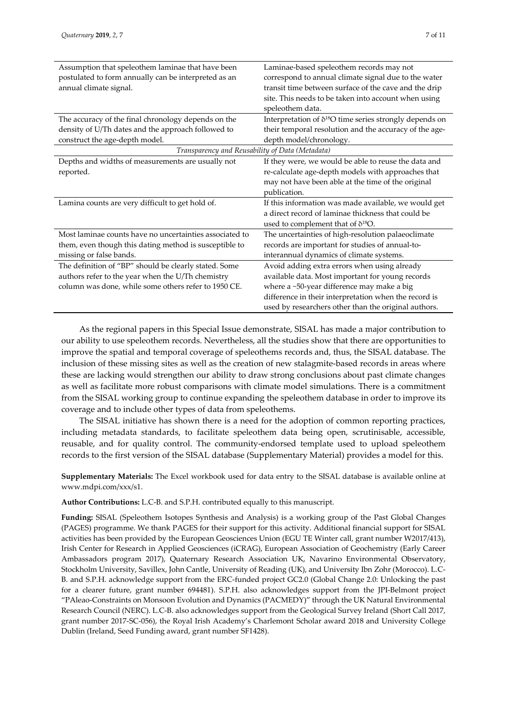| Assumption that speleothem laminae that have been<br>postulated to form annually can be interpreted as an<br>annual climate signal. | Laminae-based speleothem records may not<br>correspond to annual climate signal due to the water<br>transit time between surface of the cave and the drip<br>site. This needs to be taken into account when using<br>speleothem data. |
|-------------------------------------------------------------------------------------------------------------------------------------|---------------------------------------------------------------------------------------------------------------------------------------------------------------------------------------------------------------------------------------|
| The accuracy of the final chronology depends on the                                                                                 | Interpretation of δ <sup>18</sup> O time series strongly depends on                                                                                                                                                                   |
| density of U/Th dates and the approach followed to                                                                                  | their temporal resolution and the accuracy of the age-                                                                                                                                                                                |
| construct the age-depth model.                                                                                                      | depth model/chronology.                                                                                                                                                                                                               |
| Transparency and Reusability of Data (Metadata)                                                                                     |                                                                                                                                                                                                                                       |
| Depths and widths of measurements are usually not                                                                                   | If they were, we would be able to reuse the data and                                                                                                                                                                                  |
| reported.                                                                                                                           | re-calculate age-depth models with approaches that                                                                                                                                                                                    |
|                                                                                                                                     | may not have been able at the time of the original                                                                                                                                                                                    |
|                                                                                                                                     | publication.                                                                                                                                                                                                                          |
| Lamina counts are very difficult to get hold of.                                                                                    | If this information was made available, we would get                                                                                                                                                                                  |
|                                                                                                                                     | a direct record of laminae thickness that could be                                                                                                                                                                                    |
|                                                                                                                                     | used to complement that of $\delta^{18}O$ .                                                                                                                                                                                           |
| Most laminae counts have no uncertainties associated to                                                                             | The uncertainties of high-resolution palaeoclimate                                                                                                                                                                                    |
| them, even though this dating method is susceptible to                                                                              | records are important for studies of annual-to-                                                                                                                                                                                       |
| missing or false bands.                                                                                                             | interannual dynamics of climate systems.                                                                                                                                                                                              |
| The definition of "BP" should be clearly stated. Some                                                                               | Avoid adding extra errors when using already                                                                                                                                                                                          |
| authors refer to the year when the U/Th chemistry                                                                                   | available data. Most important for young records                                                                                                                                                                                      |
| column was done, while some others refer to 1950 CE.                                                                                | where a ~50-year difference may make a big                                                                                                                                                                                            |
|                                                                                                                                     | difference in their interpretation when the record is                                                                                                                                                                                 |
|                                                                                                                                     | used by researchers other than the original authors.                                                                                                                                                                                  |

As the regional papers in this Special Issue demonstrate, SISAL has made a major contribution to our ability to use speleothem records. Nevertheless, all the studies show that there are opportunities to improve the spatial and temporal coverage of speleothems records and, thus, the SISAL database. The inclusion of these missing sites as well as the creation of new stalagmite-based records in areas where these are lacking would strengthen our ability to draw strong conclusions about past climate changes as well as facilitate more robust comparisons with climate model simulations. There is a commitment from the SISAL working group to continue expanding the speleothem database in order to improve its coverage and to include other types of data from speleothems.

The SISAL initiative has shown there is a need for the adoption of common reporting practices, including metadata standards, to facilitate speleothem data being open, scrutinisable, accessible, reusable, and for quality control. The community-endorsed template used to upload speleothem records to the first version of the SISAL database (Supplementary Material) provides a model for this.

**Supplementary Materials:** The Excel workbook used for data entry to the SISAL database is available online at www.mdpi.com/xxx/s1.

**Author Contributions:** L.C-B. and S.P.H. contributed equally to this manuscript.

**Funding:** SISAL (Speleothem Isotopes Synthesis and Analysis) is a working group of the Past Global Changes (PAGES) programme. We thank PAGES for their support for this activity. Additional financial support for SISAL activities has been provided by the European Geosciences Union (EGU TE Winter call, grant number W2017/413), Irish Center for Research in Applied Geosciences (iCRAG), European Association of Geochemistry (Early Career Ambassadors program 2017), Quaternary Research Association UK, Navarino Environmental Observatory, Stockholm University, Savillex, John Cantle, University of Reading (UK), and University Ibn Zohr (Morocco). L.C-B. and S.P.H. acknowledge support from the ERC-funded project GC2.0 (Global Change 2.0: Unlocking the past for a clearer future, grant number 694481). S.P.H. also acknowledges support from the JPI-Belmont project "PAleao-Constraints on Monsoon Evolution and Dynamics (PACMEDY)" through the UK Natural Environmental Research Council (NERC). L.C-B. also acknowledges support from the Geological Survey Ireland (Short Call 2017, grant number 2017-SC-056), the Royal Irish Academy's Charlemont Scholar award 2018 and University College Dublin (Ireland, Seed Funding award, grant number SF1428).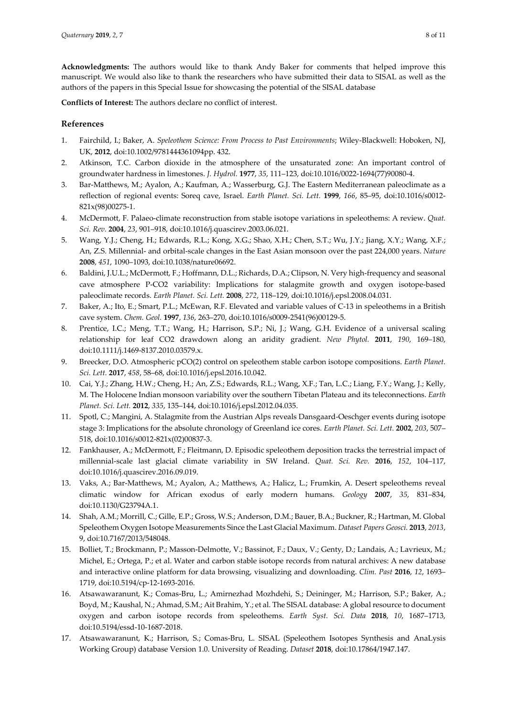**Acknowledgments:** The authors would like to thank Andy Baker for comments that helped improve this manuscript. We would also like to thank the researchers who have submitted their data to SISAL as well as the authors of the papers in this Special Issue for showcasing the potential of the SISAL database

**Conflicts of Interest:** The authors declare no conflict of interest.

#### **References**

- 1. Fairchild, I.; Baker, A. *Speleothem Science: From Process to Past Environments*; Wiley-Blackwell: Hoboken, NJ, UK, **2012**, doi:10.1002/9781444361094pp. 432.
- 2. Atkinson, T.C. Carbon dioxide in the atmosphere of the unsaturated zone: An important control of groundwater hardness in limestones. *J. Hydrol.* **1977**, *35*, 111–123, doi:10.1016/0022-1694(77)90080-4.
- 3. Bar-Matthews, M.; Ayalon, A.; Kaufman, A.; Wasserburg, G.J. The Eastern Mediterranean paleoclimate as a reflection of regional events: Soreq cave, Israel. *Earth Planet. Sci. Lett.* **1999**, *166*, 85–95, doi:10.1016/s0012- 821x(98)00275-1.
- 4. McDermott, F. Palaeo-climate reconstruction from stable isotope variations in speleothems: A review. *Quat. Sci. Rev.* **2004**, *23*, 901–918, doi:10.1016/j.quascirev.2003.06.021.
- 5. Wang, Y.J.; Cheng, H.; Edwards, R.L.; Kong, X.G.; Shao, X.H.; Chen, S.T.; Wu, J.Y.; Jiang, X.Y.; Wang, X.F.; An, Z.S. Millennial- and orbital-scale changes in the East Asian monsoon over the past 224,000 years. *Nature*  **2008**, *451*, 1090–1093, doi:10.1038/nature06692.
- 6. Baldini, J.U.L.; McDermott, F.; Hoffmann, D.L.; Richards, D.A.; Clipson, N. Very high-frequency and seasonal cave atmosphere P-CO2 variability: Implications for stalagmite growth and oxygen isotope-based paleoclimate records. *Earth Planet. Sci. Lett.* **2008**, *272*, 118–129, doi:10.1016/j.epsl.2008.04.031.
- 7. Baker, A.; Ito, E.; Smart, P.L.; McEwan, R.F. Elevated and variable values of C-13 in speleothems in a British cave system. *Chem. Geol.* **1997**, *136*, 263–270, doi:10.1016/s0009-2541(96)00129-5.
- 8. Prentice, I.C.; Meng, T.T.; Wang, H.; Harrison, S.P.; Ni, J.; Wang, G.H. Evidence of a universal scaling relationship for leaf CO2 drawdown along an aridity gradient. *New Phytol.* **2011**, *190*, 169–180, doi:10.1111/j.1469-8137.2010.03579.x.
- 9. Breecker, D.O. Atmospheric pCO(2) control on speleothem stable carbon isotope compositions. *Earth Planet. Sci. Lett.* **2017**, *458*, 58–68, doi:10.1016/j.epsl.2016.10.042.
- 10. Cai, Y.J.; Zhang, H.W.; Cheng, H.; An, Z.S.; Edwards, R.L.; Wang, X.F.; Tan, L.C.; Liang, F.Y.; Wang, J.; Kelly, M. The Holocene Indian monsoon variability over the southern Tibetan Plateau and its teleconnections. *Earth Planet. Sci. Lett.* **2012**, *335*, 135–144, doi:10.1016/j.epsl.2012.04.035.
- 11. Spotl, C.; Mangini, A. Stalagmite from the Austrian Alps reveals Dansgaard-Oeschger events during isotope stage 3: Implications for the absolute chronology of Greenland ice cores. *Earth Planet. Sci. Lett.* **2002**, *203*, 507– 518, doi:10.1016/s0012-821x(02)00837-3.
- 12. Fankhauser, A.; McDermott, F.; Fleitmann, D. Episodic speleothem deposition tracks the terrestrial impact of millennial-scale last glacial climate variability in SW Ireland. *Quat. Sci. Rev.* **2016**, *152*, 104–117, doi:10.1016/j.quascirev.2016.09.019.
- 13. Vaks, A.; Bar-Matthews, M.; Ayalon, A.; Matthews, A.; Halicz, L.; Frumkin, A. Desert speleothems reveal climatic window for African exodus of early modern humans. *Geology* **2007**, *35*, 831–834, doi:10.1130/G23794A.1.
- 14. Shah, A.M.; Morrill, C.; Gille, E.P.; Gross, W.S.; Anderson, D.M.; Bauer, B.A.; Buckner, R.; Hartman, M. Global Speleothem Oxygen Isotope Measurements Since the Last Glacial Maximum. *Dataset Papers Geosci.* **2013**, *2013*, 9, doi:10.7167/2013/548048.
- 15. Bolliet, T.; Brockmann, P.; Masson-Delmotte, V.; Bassinot, F.; Daux, V.; Genty, D.; Landais, A.; Lavrieux, M.; Michel, E.; Ortega, P.; et al. Water and carbon stable isotope records from natural archives: A new database and interactive online platform for data browsing, visualizing and downloading. *Clim. Past* **2016**, *12*, 1693– 1719, doi:10.5194/cp-12-1693-2016.
- 16. Atsawawaranunt, K.; Comas-Bru, L.; Amirnezhad Mozhdehi, S.; Deininger, M.; Harrison, S.P.; Baker, A.; Boyd, M.; Kaushal, N.; Ahmad, S.M.; Ait Brahim, Y.; et al. The SISAL database: A global resource to document oxygen and carbon isotope records from speleothems. *Earth Syst. Sci. Data* **2018**, *10*, 1687–1713, doi:10.5194/essd-10-1687-2018.
- 17. Atsawawaranunt, K.; Harrison, S.; Comas-Bru, L. SISAL (Speleothem Isotopes Synthesis and AnaLysis Working Group) database Version 1.0. University of Reading. *Dataset* **2018**, doi:10.17864/1947.147.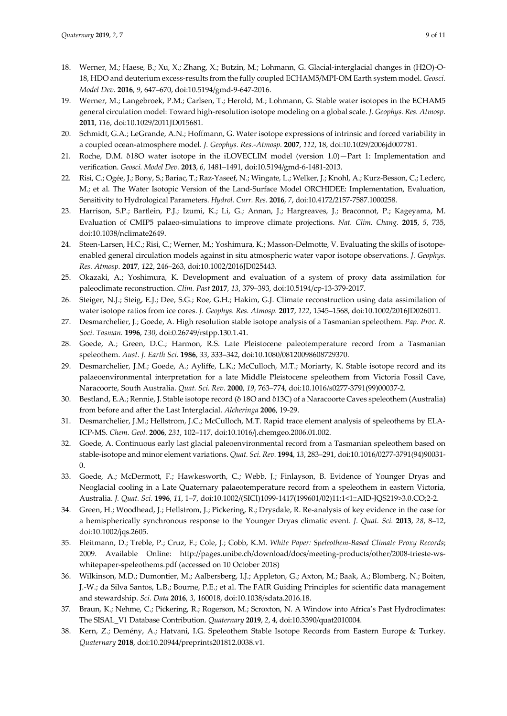- 18. Werner, M.; Haese, B.; Xu, X.; Zhang, X.; Butzin, M.; Lohmann, G. Glacial-interglacial changes in (H2O)-O-18, HDO and deuterium excess-results from the fully coupled ECHAM5/MPI-OM Earth system model. *Geosci. Model Dev.* **2016**, *9*, 647–670, doi:10.5194/gmd-9-647-2016.
- 19. Werner, M.; Langebroek, P.M.; Carlsen, T.; Herold, M.; Lohmann, G. Stable water isotopes in the ECHAM5 general circulation model: Toward high-resolution isotope modeling on a global scale. *J. Geophys. Res. Atmosp.*  **2011**, *116*, doi:10.1029/2011JD015681.
- 20. Schmidt, G.A.; LeGrande, A.N.; Hoffmann, G. Water isotope expressions of intrinsic and forced variability in a coupled ocean-atmosphere model. *J. Geophys. Res.-Atmosp.* **2007**, *112*, 18, doi:10.1029/2006jd007781.
- 21. Roche, D.M. δ18O water isotope in the iLOVECLIM model (version 1.0)—Part 1: Implementation and verification. *Geosci. Model Dev.* **2013**, *6*, 1481–1491, doi:10.5194/gmd-6-1481-2013.
- 22. Risi, C.; Ogée, J.; Bony, S.; Bariac, T.; Raz-Yaseef, N.; Wingate, L.; Welker, J.; Knohl, A.; Kurz-Besson, C.; Leclerc, M.; et al. The Water Isotopic Version of the Land-Surface Model ORCHIDEE: Implementation, Evaluation, Sensitivity to Hydrological Parameters. *Hydrol. Curr. Res.* **2016**, *7*, doi:10.4172/2157-7587.1000258.
- 23. Harrison, S.P.; Bartlein, P.J.; Izumi, K.; Li, G.; Annan, J.; Hargreaves, J.; Braconnot, P.; Kageyama, M. Evaluation of CMIP5 palaeo-simulations to improve climate projections. *Nat. Clim. Chang.* **2015**, *5*, 735, doi:10.1038/nclimate2649.
- 24. Steen-Larsen, H.C.; Risi, C.; Werner, M.; Yoshimura, K.; Masson-Delmotte, V. Evaluating the skills of isotopeenabled general circulation models against in situ atmospheric water vapor isotope observations. *J. Geophys. Res. Atmosp.* **2017**, *122*, 246–263, doi:10.1002/2016JD025443.
- 25. Okazaki, A.; Yoshimura, K. Development and evaluation of a system of proxy data assimilation for paleoclimate reconstruction. *Clim. Past* **2017**, *13*, 379–393, doi:10.5194/cp-13-379-2017.
- 26. Steiger, N.J.; Steig, E.J.; Dee, S.G.; Roe, G.H.; Hakim, G.J. Climate reconstruction using data assimilation of water isotope ratios from ice cores. *J. Geophys. Res. Atmosp.* **2017**, *122*, 1545–1568, doi:10.1002/2016JD026011.
- 27. Desmarchelier, J.; Goede, A. High resolution stable isotope analysis of a Tasmanian speleothem. *Pap. Proc. R. Soci. Tasman.* **1996**, *130*, doi:0.26749/rstpp.130.1.41.
- 28. Goede, A.; Green, D.C.; Harmon, R.S. Late Pleistocene paleotemperature record from a Tasmanian speleothem. *Aust. J. Earth Sci.* **1986**, *33*, 333–342, doi:10.1080/08120098608729370.
- 29. Desmarchelier, J.M.; Goede, A.; Ayliffe, L.K.; McCulloch, M.T.; Moriarty, K. Stable isotope record and its palaeoenvironmental interpretation for a late Middle Pleistocene speleothem from Victoria Fossil Cave, Naracoorte, South Australia. *Quat. Sci. Rev.* **2000**, *19*, 763–774, doi:10.1016/s0277-3791(99)00037-2.
- 30. Bestland, E.A.; Rennie, J. Stable isotope record (δ 18O and δ13C) of a Naracoorte Caves speleothem (Australia) from before and after the Last Interglacial. *Alcheringa* **2006**, 19-29.
- 31. Desmarchelier, J.M.; Hellstrom, J.C.; McCulloch, M.T. Rapid trace element analysis of speleothems by ELA-ICP-MS. *Chem. Geol.* **2006**, *231*, 102–117, doi:10.1016/j.chemgeo.2006.01.002.
- 32. Goede, A. Continuous early last glacial paleoenvironmental record from a Tasmanian speleothem based on stable-isotope and minor element variations. *Quat. Sci. Rev.* **1994**, *13*, 283–291, doi:10.1016/0277-3791(94)90031- 0.
- 33. Goede, A.; McDermott, F.; Hawkesworth, C.; Webb, J.; Finlayson, B. Evidence of Younger Dryas and Neoglacial cooling in a Late Quaternary palaeotemperature record from a speleothem in eastern Victoria, Australia. *J. Quat. Sci.* **1996**, *11*, 1–7, doi:10.1002/(SICI)1099-1417(199601/02)11:1<1::AID-JQS219>3.0.CO;2-2.
- 34. Green, H.; Woodhead, J.; Hellstrom, J.; Pickering, R.; Drysdale, R. Re-analysis of key evidence in the case for a hemispherically synchronous response to the Younger Dryas climatic event. *J. Quat. Sci.* **2013**, *28*, 8–12, doi:10.1002/jqs.2605.
- 35. Fleitmann, D.; Treble, P.; Cruz, F.; Cole, J.; Cobb, K.M. *White Paper: Speleothem-Based Climate Proxy Records*; 2009. Available Online: http://pages.unibe.ch/download/docs/meeting-products/other/2008-trieste-wswhitepaper-speleothems.pdf (accessed on 10 October 2018)
- 36. Wilkinson, M.D.; Dumontier, M.; Aalbersberg, I.J.; Appleton, G.; Axton, M.; Baak, A.; Blomberg, N.; Boiten, J.-W.; da Silva Santos, L.B.; Bourne, P.E.; et al. The FAIR Guiding Principles for scientific data management and stewardship. *Sci. Data* **2016**, *3*, 160018, doi:10.1038/sdata.2016.18.
- 37. Braun, K.; Nehme, C.; Pickering, R.; Rogerson, M.; Scroxton, N. A Window into Africa's Past Hydroclimates: The SISAL\_V1 Database Contribution. *Quaternary* **2019**, *2*, 4, doi:10.3390/quat2010004.
- 38. Kern, Z.; Demény, A.; Hatvani, I.G. Speleothem Stable Isotope Records from Eastern Europe & Turkey. *Quaternary* **2018**, doi:10.20944/preprints201812.0038.v1.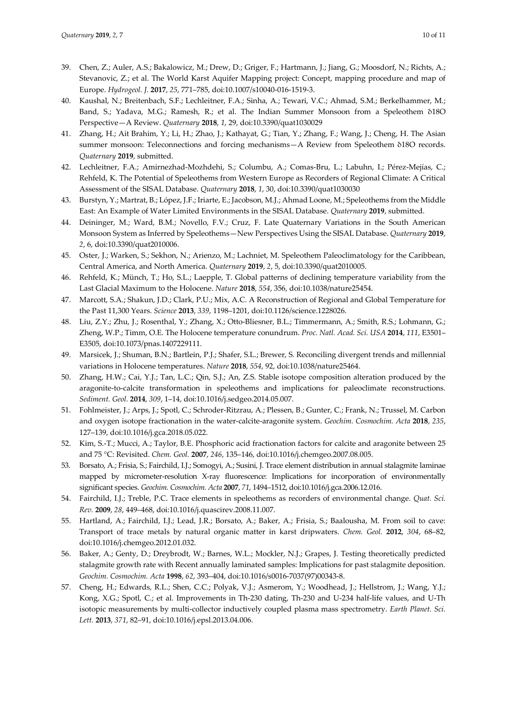- 39. Chen, Z.; Auler, A.S.; Bakalowicz, M.; Drew, D.; Griger, F.; Hartmann, J.; Jiang, G.; Moosdorf, N.; Richts, A.; Stevanovic, Z.; et al. The World Karst Aquifer Mapping project: Concept, mapping procedure and map of Europe. *Hydrogeol. J.* **2017**, *25*, 771–785, doi:10.1007/s10040-016-1519-3.
- 40. Kaushal, N.; Breitenbach, S.F.; Lechleitner, F.A.; Sinha, A.; Tewari, V.C.; Ahmad, S.M.; Berkelhammer, M.; Band, S.; Yadava, M.G.; Ramesh, R.; et al. The Indian Summer Monsoon from a Speleothem δ18O Perspective—A Review. *Quaternary* **2018**, *1*, 29, doi:10.3390/quat1030029
- 41. Zhang, H.; Ait Brahim, Y.; Li, H.; Zhao, J.; Kathayat, G.; Tian, Y.; Zhang, F.; Wang, J.; Cheng, H. The Asian summer monsoon: Teleconnections and forcing mechanisms—A Review from Speleothem δ18O records. *Quaternary* **2019**, submitted.
- 42. Lechleitner, F.A.; Amirnezhad-Mozhdehi, S.; Columbu, A.; Comas-Bru, L.; Labuhn, I.; Pérez-Mejías, C.; Rehfeld, K. The Potential of Speleothems from Western Europe as Recorders of Regional Climate: A Critical Assessment of the SISAL Database. *Quaternary* **2018**, *1*, 30, doi:10.3390/quat1030030
- 43. Burstyn, Y.; Martrat, B.; López, J.F.; Iriarte, E.; Jacobson, M.J.; Ahmad Loone, M.; Speleothems from the Middle East: An Example of Water Limited Environments in the SISAL Database. *Quaternary* **2019**, submitted.
- 44. Deininger, M.; Ward, B.M.; Novello, F.V.; Cruz, F. Late Quaternary Variations in the South American Monsoon System as Inferred by Speleothems—New Perspectives Using the SISAL Database. *Quaternary* **2019**, *2*, 6, doi:10.3390/quat2010006.
- 45. Oster, J.; Warken, S.; Sekhon, N.; Arienzo, M.; Lachniet, M. Speleothem Paleoclimatology for the Caribbean, Central America, and North America. *Quaternary* **2019**, *2*, 5, doi:10.3390/quat2010005.
- 46. Rehfeld, K.; Münch, T.; Ho, S.L.; Laepple, T. Global patterns of declining temperature variability from the Last Glacial Maximum to the Holocene. *Nature* **2018**, *554*, 356, doi:10.1038/nature25454.
- 47. Marcott, S.A.; Shakun, J.D.; Clark, P.U.; Mix, A.C. A Reconstruction of Regional and Global Temperature for the Past 11,300 Years. *Science* **2013**, *339*, 1198–1201, doi:10.1126/science.1228026.
- 48. Liu, Z.Y.; Zhu, J.; Rosenthal, Y.; Zhang, X.; Otto-Bliesner, B.L.; Timmermann, A.; Smith, R.S.; Lohmann, G.; Zheng, W.P.; Timm, O.E. The Holocene temperature conundrum. *Proc. Natl. Acad. Sci. USA* **2014**, *111*, E3501– E3505, doi:10.1073/pnas.1407229111.
- 49. Marsicek, J.; Shuman, B.N.; Bartlein, P.J.; Shafer, S.L.; Brewer, S. Reconciling divergent trends and millennial variations in Holocene temperatures. *Nature* **2018**, *554*, 92, doi:10.1038/nature25464.
- 50. Zhang, H.W.; Cai, Y.J.; Tan, L.C.; Qin, S.J.; An, Z.S. Stable isotope composition alteration produced by the aragonite-to-calcite transformation in speleothems and implications for paleoclimate reconstructions. *Sediment. Geol.* **2014**, *309*, 1–14, doi:10.1016/j.sedgeo.2014.05.007.
- 51. Fohlmeister, J.; Arps, J.; Spotl, C.; Schroder-Ritzrau, A.; Plessen, B.; Gunter, C.; Frank, N.; Trussel, M. Carbon and oxygen isotope fractionation in the water-calcite-aragonite system. *Geochim. Cosmochim. Acta* **2018**, *235*, 127–139, doi:10.1016/j.gca.2018.05.022.
- 52. Kim, S.-T.; Mucci, A.; Taylor, B.E. Phosphoric acid fractionation factors for calcite and aragonite between 25 and 75 °C: Revisited. *Chem. Geol.* **2007**, *246*, 135–146, doi:10.1016/j.chemgeo.2007.08.005.
- 53. Borsato, A.; Frisia, S.; Fairchild, I.J.; Somogyi, A.; Susini, J. Trace element distribution in annual stalagmite laminae mapped by micrometer-resolution X-ray fluorescence: Implications for incorporation of environmentally significant species. *Geochim. Cosmochim. Acta* **2007**, *71*, 1494–1512, doi:10.1016/j.gca.2006.12.016.
- 54. Fairchild, I.J.; Treble, P.C. Trace elements in speleothems as recorders of environmental change. *Quat. Sci. Rev.* **2009**, *28*, 449–468, doi:10.1016/j.quascirev.2008.11.007.
- 55. Hartland, A.; Fairchild, I.J.; Lead, J.R.; Borsato, A.; Baker, A.; Frisia, S.; Baalousha, M. From soil to cave: Transport of trace metals by natural organic matter in karst dripwaters. *Chem. Geol.* **2012**, *304*, 68–82, doi:10.1016/j.chemgeo.2012.01.032.
- 56. Baker, A.; Genty, D.; Dreybrodt, W.; Barnes, W.L.; Mockler, N.J.; Grapes, J. Testing theoretically predicted stalagmite growth rate with Recent annually laminated samples: Implications for past stalagmite deposition. *Geochim. Cosmochim. Acta* **1998**, *62*, 393–404, doi:10.1016/s0016-7037(97)00343-8.
- 57. Cheng, H.; Edwards, R.L.; Shen, C.C.; Polyak, V.J.; Asmerom, Y.; Woodhead, J.; Hellstrom, J.; Wang, Y.J.; Kong, X.G.; Spotl, C.; et al. Improvements in Th-230 dating, Th-230 and U-234 half-life values, and U-Th isotopic measurements by multi-collector inductively coupled plasma mass spectrometry. *Earth Planet. Sci. Lett.* **2013**, *371*, 82–91, doi:10.1016/j.epsl.2013.04.006.